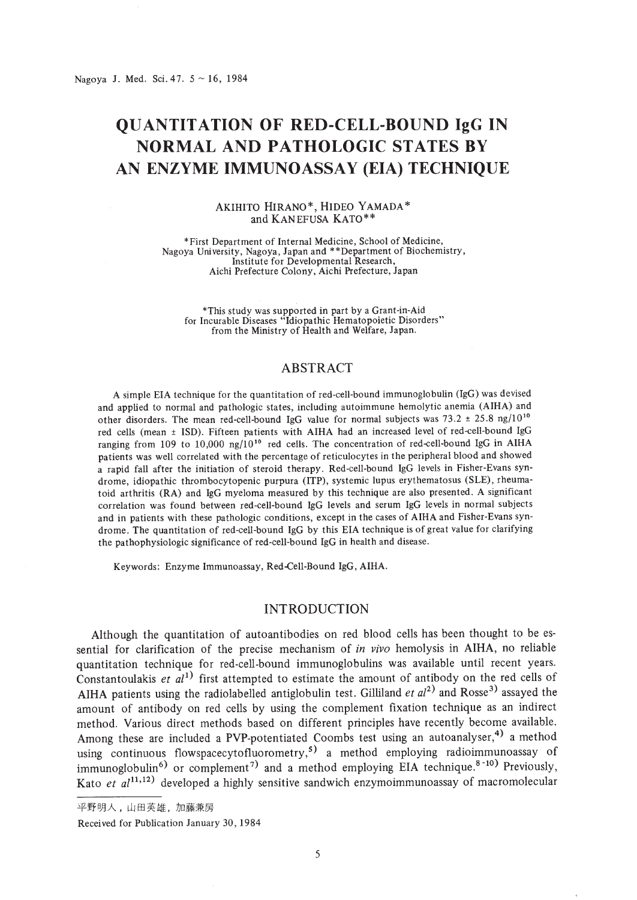# **QUANTITATION OF RED-CELL-BOUND IgG IN NORMAL AND PATHOLOGIC STATES BY AN ENZYME IMMUNOASSAY (EIA) TECHNIQUE**

#### AKlHITO HIRANO\*, HIDEO YAMADA\* and KANEFUSA KATO\*\*

\*First Department of Internal Medicine, School of Medicine. Nagoya University. Nagoya. Japan and \*\*Department of Biochemistry. Institute for Developmental Research, Aichi Prefecture Colony, Aichi Prefecture, Japan

\*This study was supported in part by a Grant-in-Aid for Incurable Diseases "Idiopathic Hematopoietic Disorders" from the Ministry of Health and Welfare. Japan.

# ABSTRACT

A simple EIA technique for the quantitation of red-cell-bound immunoglobulin (IgG) was devised and applied to normal and pathologic states, including autoimmune hemolytic anemia (AIHA) and other disorders. The mean red-cell-bound IgG value for normal subjects was  $73.2 \pm 25.8$  ng/ $10^{10}$ red cells (mean ± ISD). Fifteen patients with AIHA had an increased level of red-eell-bound IgG ranging from 109 to 10,000 ng/10<sup>10</sup> red cells. The concentration of red-cell-bound IgG in AIHA patients was well correlated with the percentage of reticulocytes in the peripheral blood and showed a rapid fall after the initiation of steroid therapy. Red-cell-bound IgG levels in Fisher-Evans syndrome, idiopathic thrombocytopenic purpura (ITP), systemic lupus erythematosus (SLE), rheumatoid arthritis (RA) and IgG myeloma measured by this technique are also presented. A significant correlation was found between red-cell-bound IgG levels and serum IgG levels in normal subjects and in patients with these pathologic conditions, except in the cases of AIHA and Fisher-Evans syndrome. The quantitation of red-ceil-bound IgG by this EIA technique is of great value for clarifying the pathophysiologic significance of red-cell-bound IgG in health and disease.

Keywords: Enzyme Immunoassay, Red-Cell-Bound IgG, AIHA.

#### INTRODUCTION

Although the quantitation of autoantibodies on red blood cells has been thought to be essential for clarification of the precise mechanism of *in vivo* hemolysis in AIHA, no reliable quantitation technique for red-cell-bound immunoglobulins was available until recent years. Constantoulakis *et* al<sup>1)</sup> first attempted to estimate the amount of antibody on the red cells of AIHA patients using the radiolabelled antiglobulin test. Gilliland et  $al^2$ <sup>)</sup> and Rosse<sup>3</sup><sup>)</sup> assayed the amount of antibody on red cells by using the complement fixation technique as an indirect method. Various direct methods based on different principles have recently become available. Among these are included a PVP-potentiated Coombs test using an autoanalyser, $4$ ) a method using continuous flowspacecytofluorometry,<sup>5)</sup> a method employing radioimmunoassay of immunoglobulin<sup>6)</sup> or complement<sup>7)</sup> and a method employing EIA technique.<sup>8-10)</sup> Previously, Kato et al<sup>11,12)</sup> developed a highly sensitive sandwich enzymoimmunoassay of macromolecular

平野明人,山田英雄,加藤兼房

Received for Publication January 30, 1984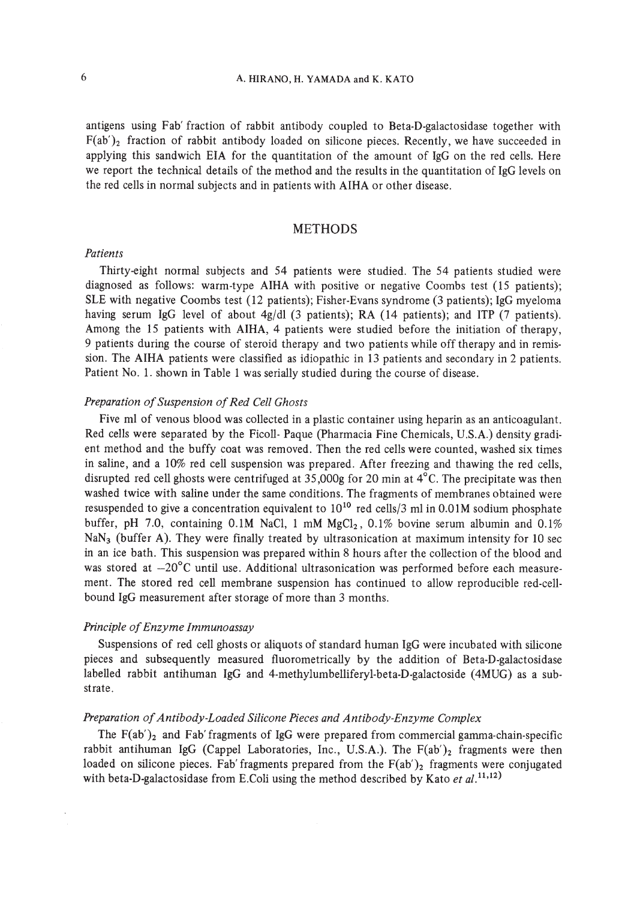antigens using Fab' fraction of rabbit antibody coupled to Beta-O-galactosidase together with  $F(ab')_2$  fraction of rabbit antibody loaded on silicone pieces. Recently, we have succeeded in applying this sandwich EIA for the quantitation of the amount of IgG on the red cells. Here we report the technical details of the method and the results in the quantitation of IgG levels on the red cells in normal subjects and in patients with AIHA or other disease.

#### METHODS

#### *Patients*

Thirty-eight normal subjects and 54 patients were studied. The 54 patients studied were diagnosed as follows: warm-type AIHA with positive or negative Coombs test (15 patients); SLE with negative Coombs test (12 patients); Fisher-Evans syndrome (3 patients); IgG myeloma having serum IgG level of about  $4g/dl$  (3 patients); RA (14 patients); and ITP (7 patients). Among the 15 patients with AIHA, 4 patients were studied before the initiation of therapy, 9 patients during the course of steroid therapy and two patients while off therapy and in remission. The AIHA patients were classified as idiopathic in 13 patients and secondary in 2 patients. Patient No.1. shown in Table 1 was serially studied during the course of disease.

#### *Preparation of Suspension of Red Cell Ghosts*

Five ml of venous blood was collected in a plastic container using heparin as an anticoagulant. Red cells were separated by the Ficoll- Paque (Pharmacia Fine Chemicals, U.S.A.) density gradient method and the buffy coat was removed. Then the red cells were counted, washed six times in saline, and a 10% red cell suspension was prepared. After freezing and thawing the red cells, disrupted red cell ghosts were centrifuged at 35 ,000g for 20 min at 4°C. The precipitate was then washed twice with saline under the same conditions. The fragments of membranes obtained were resuspended to give a concentration equivalent to  $10^{10}$  red cells/3 ml in 0.01M sodium phosphate buffer, pH 7.0, containing  $0.1M$  NaCl, 1 mM MgCl<sub>2</sub>,  $0.1\%$  bovine serum albumin and  $0.1\%$  $\text{Na}\text{N}_3$  (buffer A). They were finally treated by ultrasonication at maximum intensity for 10 sec in an ice bath. This suspension was prepared within 8 hours after the collection of the blood and was stored at  $-20^{\circ}$ C until use. Additional ultrasonication was performed before each measurement. The stored red cell membrane suspension has continued to allow reproducible red-cellbound IgG measurement after storage of more than 3 months.

#### *Principle of Enzyme Immunoassay*

Suspensions of red cell ghosts or aliquots of standard human IgG were incubated with silicone pieces and subsequently measured fluorometrically by the addition of Beta-O-galactosidase labelled rabbit antihuman IgG and 4-methylumbelliferyl-beta-O-galactoside (4MUG) as a substrate.

#### *Preparation ofAntibody-Loaded Silicone Pieces and Antibody-Enzyme Complex*

The  $F(ab')_2$  and Fab' fragments of IgG were prepared from commercial gamma-chain-specific rabbit antihuman IgG (Cappel Laboratories, Inc., U.S.A.). The  $F(ab')_2$  fragments were then loaded on silicone pieces. Fab' fragments prepared from the  $F(ab')_2$  fragments were conjugated with beta-D-galactosidase from E.Coli using the method described by Kato *et al.*<sup>11,12</sup>)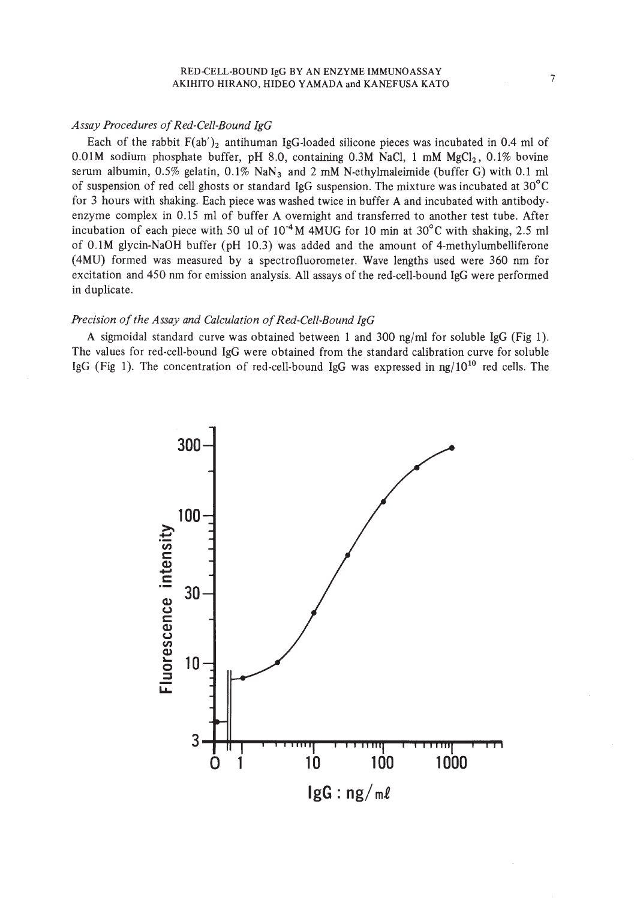#### RED-CELL-BOUND IgG BY AN ENZYME IMMUNOASSAY AKIHITO HIRANO, HIDEO YAMADA and KANEFUSA KATO

#### *Assay Procedures ofRed-Cel/-Bound IgG*

Each of the rabbit  $F(ab')_2$  antihuman IgG-loaded silicone pieces was incubated in 0.4 ml of  $0.01M$  sodium phosphate buffer, pH 8.0, containing 0.3M NaCl, 1 mM MgCl<sub>2</sub>, 0.1% bovine serum albumin,  $0.5%$  gelatin,  $0.1%$  NaN<sub>3</sub> and 2 mM N-ethylmaleimide (buffer G) with 0.1 ml of suspension of red cell ghosts or standard IgG suspension. The mixture was incubated at  $30^{\circ}$ C for 3 hours with shaking. Each piece was washed twice in buffer A and incubated with antibodyenzyme complex in 0.15 ml of buffer A overnight and transferred to another test tube. After incubation of each piece with 50 ul of  $10^{-4}$ M 4MUG for 10 min at  $30^{\circ}$ C with shaking, 2.5 ml of O.IM glycin-NaOH buffer (pH 10.3) was added and the amount of 4-methylumbelliferone (4MU) formed was measured by a spectrofluorometer. Wave lengths used were 360 nm for excitation and 450 nm for emission analysis. All assays of the red-cell-bound IgG were performed in duplicate.

#### *Precision of the Assay and Calculation of Red-Cell-Bound IgG*

A sigmoidal standard curve was obtained between 1 and 300 ng/ml for soluble IgG (Fig 1). The values for red-cell·bound IgG were obtained from the standard calibration curve for soluble IgG (Fig 1). The concentration of red-cell-bound IgG was expressed in  $\text{ng}/10^{10}$  red cells. The

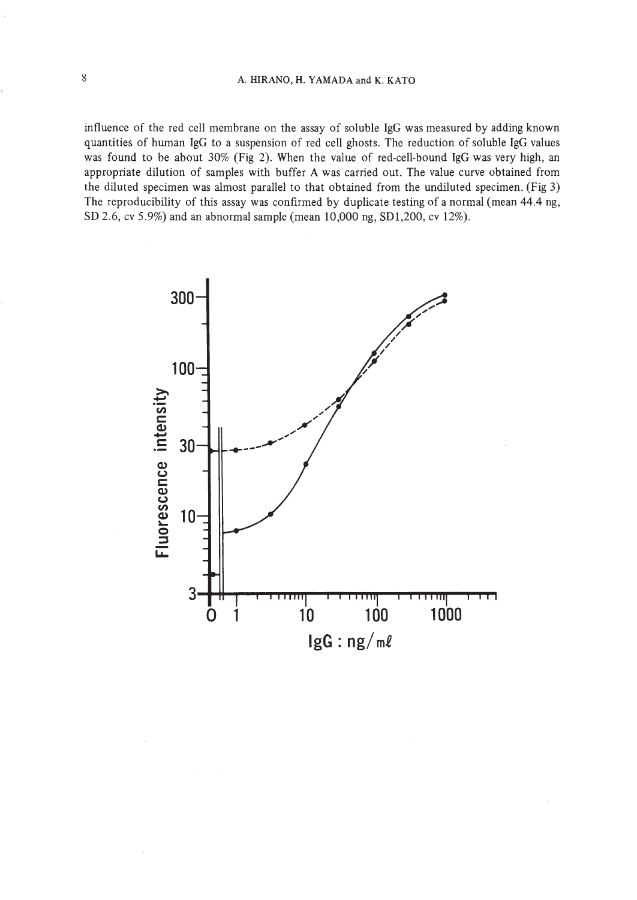influence of the red cell membrane on the assay of soluble IgG was measured by adding known quantities of human IgG to a suspension of red cell ghosts. The reduction ofsoluble IgG values was found to be about 30% (Fig 2). When the value of red-cell-bound IgG was very high, an appropriate dilution of samples with buffer A was carried out. The value curve obtained from the diluted specimen was almost parallel to that obtained from the undiluted specimen. (Fig 3) The reproducibility of this assay was confirmed by duplicate testing of a normal (mean 44.4 ng, SD 2.6, cv 5.9%) and an abnormal sample (mean 10,000 ng, SDl,200, cv 12%).

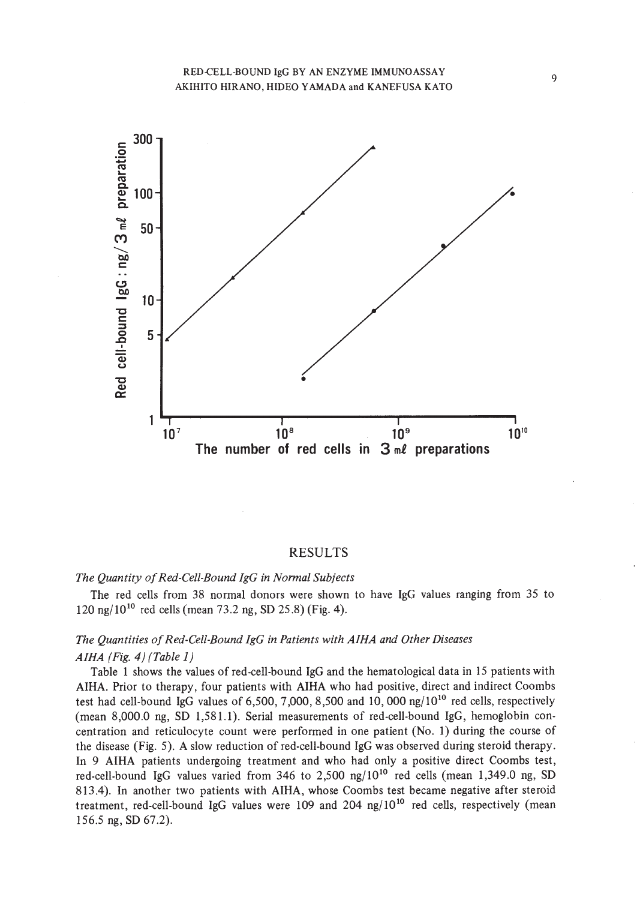

## RESULTS

#### *The Quantity ofRed-Cell-Bound IgG in Normal Subjects*

The red cells from 38 normal donors were shown to have IgG values ranging from 35 to  $120 \text{ ng}/10^{10}$  red cells (mean 73.2 ng, SD 25.8) (Fig. 4).

# *The Quantities ofRed-Ceil-Bound IgG in Patients with AIHA and Other Diseases AIHA (Fig.* 4) *(Table* 1)

Table 1 shows the values of red-cell-bound IgG and the hematological data in 15 patients with AIHA. Prior to therapy, four patients with AIHA who had positive, direct and indirect Coombs test had cell-bound IgG values of  $6,500, 7,000, 8,500$  and 10,000 ng/ $10^{10}$  red cells, respectively (mean 8,000.0 ng, SD 1,581.1). Serial measurements of red-cell-bound IgG, hemoglobin con· centration and reticulocyte count were performed in one patient (No. I) during the course of the disease (Fig. 5). A slow reduction of red-cell-bound IgG was observed during steroid therapy. In 9 AIHA patients undergoing treatment and who had only a positive direct Coombs test, red-cell-bound IgG values varied from 346 to 2,500 ng/10<sup>10</sup> red cells (mean 1,349.0 ng, SD 813.4). In another two patients with AIHA, whose Coombs test became negative after steroid treatment, red-cell-bound IgG values were 109 and 204 ng/ $10^{10}$  red cells, respectively (mean 156.5 ng, SD 67.2).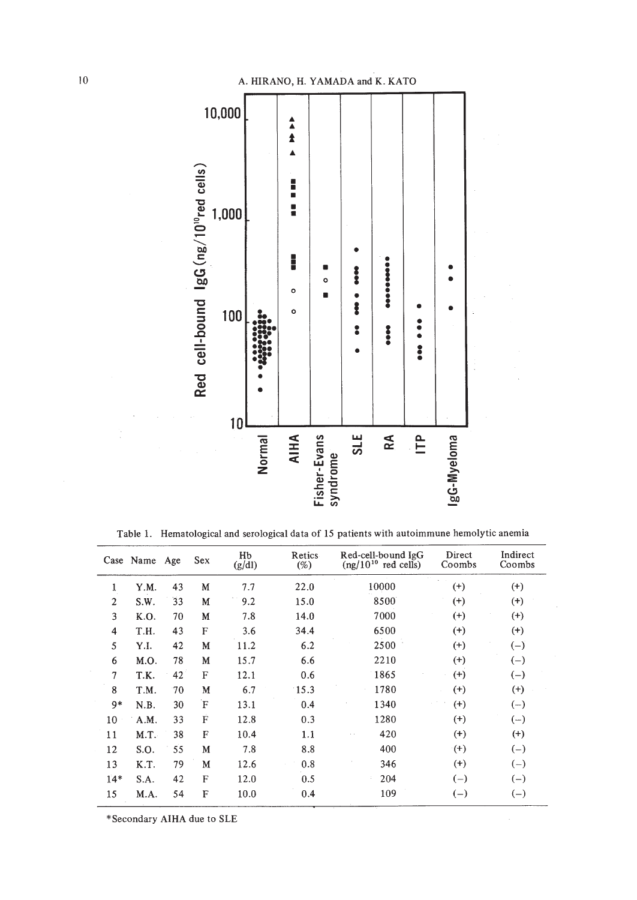

Table 1. Hematological and serological data of 15 patients with autoimmune hemolytic anemia

|                | Case Name Age |    | Sex | Hb<br>(g/dl) | Retics<br>$(\%)$ | Red-cell-bound IgG<br>$(ng/10^{10}$ red cells) | Direct<br>Coombs | Indirect<br>Coombs |
|----------------|---------------|----|-----|--------------|------------------|------------------------------------------------|------------------|--------------------|
| $\mathbf{1}$   | Y.M.          | 43 | M   | 7.7          | 22.0             | 10000                                          | $^{(+)}$         | $^{(+)}$           |
| $\overline{2}$ | S.W.          | 33 | M   | 9.2          | 15.0             | 8500                                           | $^{(+)}$         | $(+)$              |
| 3              | K.O.          | 70 | M   | 7.8          | 14.0             | 7000                                           | $(+)$            | $^{(+)}$           |
| 4              | T.H.          | 43 | F   | 3.6          | 34.4             | 6500                                           | $^{(+)}$         | $^{(+)}$           |
| 5              | Y.I.          | 42 | M   | 11.2         | 6.2              | 2500                                           | $(+)$            | $(-)$              |
| 6              | M.O.          | 78 | M   | 15.7         | 6.6              | 2210                                           | $(+)$            | $(-)$              |
| 7              | T.K.          | 42 | F   | 12.1         | 0.6              | 1865                                           | $^{(+)}$         | $(-)$              |
| 8              | T.M.          | 70 | M   | 6.7          | 15.3             | 1780                                           | $(+)$            | $(+)$              |
| $9*$           | N.B.          | 30 | F   | 13.1         | 0.4              | 1340                                           | $^{(+)}$         | $(-)$              |
| 10             | A.M.          | 33 | F   | 12.8         | 0.3              | 1280                                           | $^{(+)}$         | $(-)$              |
| 11             | M.T.          | 38 | F   | 10.4         | 1.1              | 420                                            | $(+)$            | $(+)$              |
| 12             | S.O.          | 55 | M   | 7.8          | 8.8              | 400                                            | $(+)$            | $(-)$              |
| 13             | K.T.          | 79 | M   | 12.6         | 0.8              | 346                                            | $(+)$            | $(-)$              |
| $14*$          | S.A.          | 42 | F   | 12.0         | 0.5              | 204                                            | $(-)$            | $(-)$              |
| 15             | M.A.          | 54 | F   | 10.0         | 0.4              | 109                                            | $(-)$            | $(-)$              |

\*Secondary AIHA due to SLE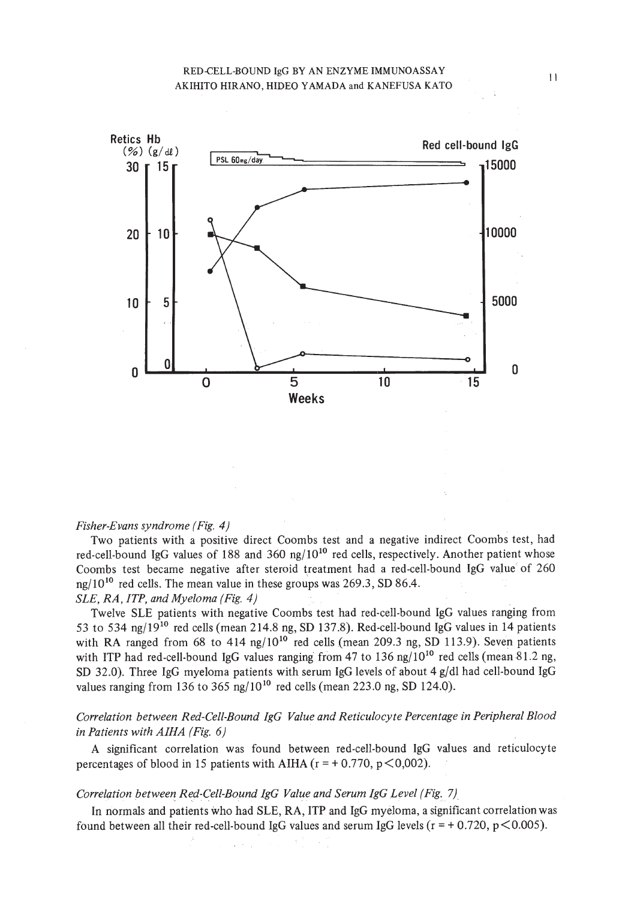

#### *Fisher-Evans syndrome (Fig.* 4)

Two patients with a positive direct Coombs test and a negative indirect Coombs test, had red-cell-bound IgG values of 188 and 360 ng/ $10^{10}$  red cells, respectively. Another patient whose Coombs test became negative after steroid treatment had a red-cell-bound IgG value of 260  $ng/10^{10}$  red cells. The mean value in these groups was 269.3, SD 86.4.

# *SLE, RA, ITP, and Myeloma (Fig.* 4)

Twelve SLE patients with negative Coombs test had red-cell-bound IgG values ranging from 53 to 534 ng/19<sup>10</sup> red cells (mean 214.8 ng, SD 137.8). Red-cell-bound IgG values in 14 patients with RA ranged from 68 to 414 ng/10<sup>10</sup> red cells (mean 209.3 ng, SD 113.9). Seven patients with ITP had red-cell-bound IgG values ranging from 47 to 136 ng/10<sup>10</sup> red cells (mean 81.2 ng, SD 32.0). Three IgG myeloma patients with serum IgG levels of about 4 g/dl had cell-bound IgG values ranging from 136 to 365 ng/10<sup>10</sup> red cells (mean 223.0 ng, SD 124.0).

# *Correlation between Red-Cell-Bound IgG Value and Reticulocyte Percentage in Peripheral Blood in Patients with AIHA (Fig. 6)*

A significant correlation was found between red-cell-bound IgG values and reticulocyte percentages of blood in 15 patients with AIHA ( $r = +0.770$ ,  $p < 0.002$ ).

#### *Correlation between. Red:Cell-Bound IgG Value and Serum IgG Level (Fig:.* 7)

In normals and patients who had SLE, RA, ITP and IgG myeloma, a significant correlation was found between all their red-cell-bound IgG values and serum IgG levels ( $r = +0.720$ ,  $p < 0.005$ ).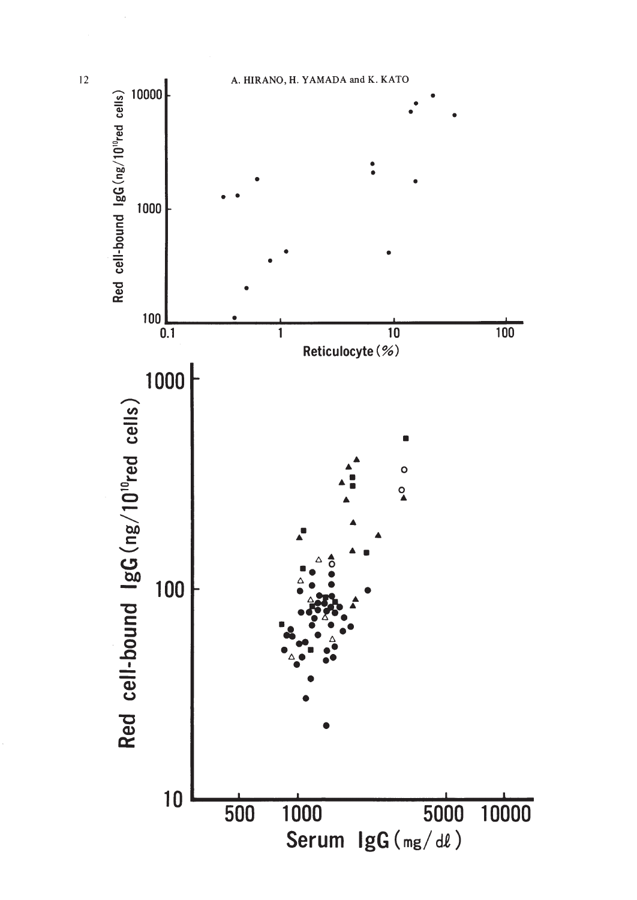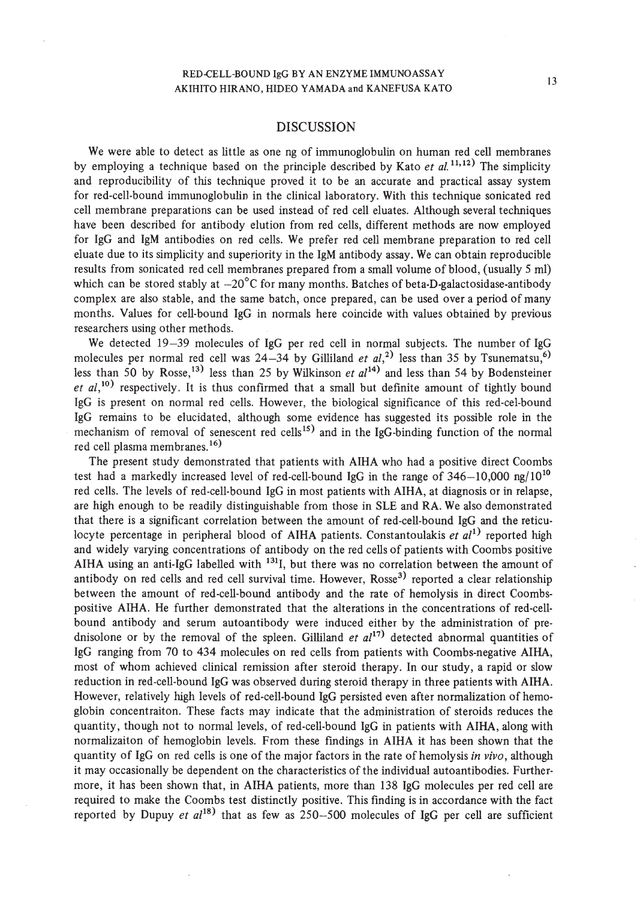# RED-CELL-BOUND IgG BY AN ENZYME IMMUNOASSAY AKIHITO HIRANO, HIDEO YAMADA and KANEFUSA KATO

## DISCUSSION

We were able to detect as little as one ng of immunoglobulin on human red cell membranes by employing a technique based on the principle described by Kato *et* al. 11,12) The simplicity and reproducibility of this technique proved it to be an accurate and practical assay system for red-ceIl-bound immunoglobulin in the clinical laboratory. With this technique sonicated red cell membrane preparations can be used instead of red cell eluates. Although several techniques have been described for antibody elution from red cells, different methods are now employed for IgG and IgM antibodies on red cells. We prefer red cell membrane preparation to red cell eluate due to its simplicity and superiority in the IgM antibody assay. We can obtain reproducible results from sonicated red cell membranes prepared from a small volume of blood, (usually 5 ml) which can be stored stably at  $-20^{\circ}$ C for many months. Batches of beta-D-galactosidase-antibody complex are also stable, and the same batch, once prepared, can be used over a period of many months. Values for cell·bound IgG in normals here coincide with values obtained by previous researchers using other methods.

We detected 19-39 molecules of IgG per red cell in normal subjects. The number of IgG molecules per normal red cell was  $24-34$  by Gilliland *et al*,<sup>2)</sup> less than 35 by Tsunematsu,<sup>6)</sup> less than 50 by Rosse,<sup>13)</sup> less than 25 by Wilkinson *et al*<sup>14)</sup> and less than 54 by Bodensteiner  $et al$ ,<sup>10)</sup> respectively. It is thus confirmed that a small but definite amount of tightly bound IgG is present on normal red cells. However, the biological significance of this red-cel-bound IgG remains to be elucidated, although some evidence has suggested its possible role in the mechanism of removal of senescent red cells<sup>15)</sup> and in the IgG-binding function of the normal red cell plasma membranes. 16)

The present study demonstrated that patients with AIHA who had a positive direct Coombs test had a markedly increased level of red-cell-bound IgG in the range of  $346-10,000$  ng/ $10^{10}$ red cells. The levels of red-cell-bound IgG in most patients with AIHA, at diagnosis or in relapse, are high enough to be readily distinguishable from those in SLE and RA. We also demonstrated that there is a significant correlation between the amount of red-cell-bound IgG and the reticulocyte percentage in peripheral blood of AIHA patients. Constantoulakis *et* al<sup>1)</sup> reported high and widely varying concentrations of antibody on the red cells of patients with Coombs positive AIHA using an anti-IgG labelled with <sup>131</sup>I, but there was no correlation between the amount of antibody on red cells and red cell survival time. However, Rosse<sup>3)</sup> reported a clear relationship between the amount of red-cell·bound antibody and the rate of hemolysis in direct Coombspositive AIHA. He further demonstrated that the alterations in the concentrations of red·ceIlbound antibody and serum autoantibody were induced either by the administration of prednisolone or by the removal of the spleen. Gilliland *et*  $al^{17}$  detected abnormal quantities of IgG ranging from 70 to 434 molecules on red cells from patients with Coombs-negative AIHA, most of whom achieved clinical remission after steroid therapy. In our study, a rapid or slow reduction in red-cell-bound IgG was observed during steroid therapy in three patients with AIHA. However, relatively high levels of red-ceIl-bound IgG persisted even after normalization of hemoglobin concentraiton. These facts may indicate that the administration of steroids reduces the quantity, though not to normal levels, of red-cell-bound IgG in patients with AlHA, along with normalizaiton of hemoglobin levels. From these findings in AIHA it has been shown that the quantity of IgG on red cells is one ofthe major factors in the rate of hemolysis *in vivo,* although it may occasionally be dependent on the characteristics of the individual autoantibodies. Furthermore, it has been shown that, in AIHA patients, more than 138 IgG molecules per red cell are required to make the Coombs test distinctly positive. This finding is in accordance with the fact reported by Dupuy et  $al^{18}$ ) that as few as 250-500 molecules of IgG per cell are sufficient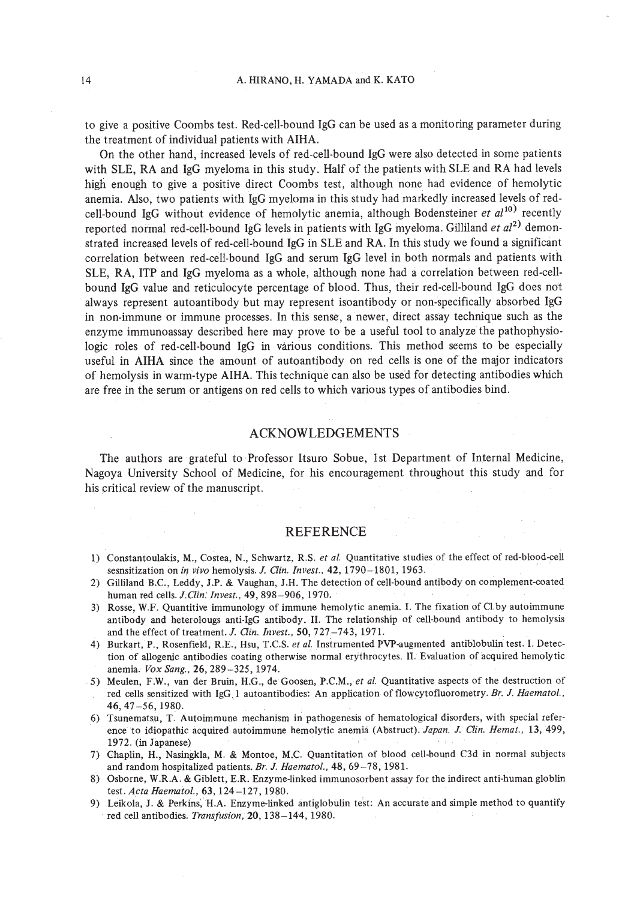to give a positive Coombs test. Red-ceIl-bound IgG can be used as a monitoring parameter during the treatment of individual patients with AIHA.

On the other hand, increased levels of red-ceil-bound IgG were also detected in some patients with SLE, RA and IgG myeloma in this study. Half of the patients with SLE and RA had levels high enough to give a positive direct Coombs test, although none had evidence of hemolytic anemia. Also, two patients with IgG myeloma in this study had markedly increased levels of redcell-bound IgG without evidence of hemolytic anemia, although Bodensteiner *et al*<sup>10</sup> recently reported normal red-cell-bound IgG levels in patients with IgG myeloma. Gilliland *et*  $al^{2}$  demonstrated increased levels of red-ceIl-bound IgG in SLE and RA. In this study we found a significant correlation between red-cell-bound IgG and serum IgG level in both normals and patients with SLE, RA, ITP and IgG myeloma as <sup>a</sup> whole, although none had acorrelation between red-cellbound IgG value and reticulocyte percentage of blood. Thus, their red-ceIl-bound IgG does not always represent autoantibody but may represent isoantibody or non-specifically absorbed IgG in non-immune or immune processes. In this sense, a newer, direct assay technique such as the enzyme immunoassay described here may prove to be a useful tool to analyze the pathophysiologic roles of red-cell-bound IgG in various conditions. This method seems to be especially useful in AIHA since the amount of autoantibody on red cells is one of the major indicators of hemolysis in warm-type AIHA. This technique can also be used for detecting antibodies which are free in the serum or antigens on red cells to which various types of antibodies bind.

# ACKNOWLEDGEMENTS

The authors are grateful to Professor Itsuro Sobue, 1st Department of Internal Medicine, Nagoya University School of Medicine, for his encouragement throughout this study and for his critical review of the manuscript.

## REFERENCE

- 1) Constantoulakis, M., Costea, N., Schwartz, R.S. *et al.* Quantitative studies of the effect of red-blood-cell sesnsitization on *in vivo* hemolysis. *J. Gin. Invest.,* 42, 1790-1801, 1963. ..
- 2) Gilliland B.C., Leddy, J.P. & Vaughan, J.H. The detection of cell-bound antibody on complement-coated human red cells. *J:Gin: Invest.,* 49,898-906, 1970.
- 3) Rosse, W.F. Quantitive immunology of immune hemolytic anemia. I. The fixation of Cl by autoimmune antibody and heterolougs anti-lgG antibody. II. The relationship of cell-bound antibody to hemolysis and the effect of treatment. *J. Gin. Invest.,* 50, 727 -743, 1971.
- 4) Burkart, P., Rosenfield, R.E., Hsu, T.C.S. *et al.* Instrumented PVP-augmented antiblobulin test. I. Detection of allogenic antibodies coating otherwise normal erythrocytes. II. Evaluation of acquired hemolytic anemia. *Vox Sang.,* 26, 289-325, 1974. . and the effect of treatment. J. Clin. Invest., 50, 727-743, 1971.<br>Burkart, P., Rosenfield, R.E., Hsu, T.C.S. et al. Instrumented PVP-augmented antiblobulin te<br>tion of allogenic antibodies coating otherwise normal erythroc
- 5) Meulen, F.W., van der Bruin, H.G., de Goosen, P.C.M., et al. Quantitative aspects of the destruction of red cells sensitized with IgG.1 autoantibodies: An application of flowcytofluorometry. *Br. J. Haematol.,*
- 6) Tsunematsu, T. Autoimmune mechanism in pathogenesis of hematological disorders, with special reference to idiopathic acquired autoimmune hemolytic anemia (Abstruct). *Japan. J. Clin. Hemat.*, 13, 499, 1972. (in Japanese)
- 7) Chaplin, H., Nasingkla, M. & Montoe, M.C. Quantitation of blood cell-bound C3d in normal subjects and random hospitalized patients. *Br. J. Haematol.,* 48, 69-78, 1981.
- 8) Osborne, W.R.A. & Giblett, E.R. Enzyme-linked immunosorbent assay for the indirect anti-human globlin test. *Acta Haematol.,* 63, 124-127, 1980.
- 9) Leikola, 1. & Perkins;' H.A. Enzyme-linked antiglobulin test: An accurate and simple method to quantify . red cell antibodies. *Transfusion,* 20, 138-144, 1980.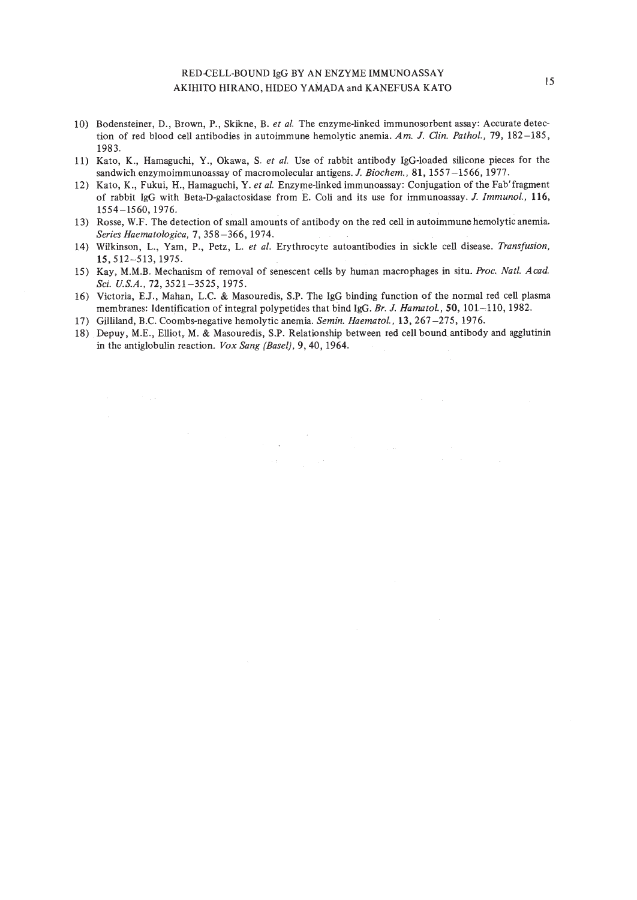# RED-CELL-BOUND IgG BY AN ENZYME IMMUNOASSAY AKIHITO HIRANO, HIDEO YAMADA and KANEFUSA KATO

- 10) Bodensteiner, D., Brown, P., Skikne, B. *et al.* The enzyme-linked immunosorbent assay: Accurate detection of red blood cell antibodies in autoimmune hemolytic anemia. *Am.* J. *Gin. Pathol.,* 79, 182-185, 1983.
- 11) Kato, K., Hamaguchi, Y., Okawa, S. *et al.* Use of rabbit antibody IgG-loaded silicone pieces for the sandwich enzymoimmunoassay of macromolecular antigens. J. Biochem., 81, 1557-1566, 1977.
- 12) Kato, K., Fukui, H., Hamaguchi, Y. *et al.* Enzyme-linked immunoassay: Conjugation of the Fab' fragment of rabbit IgG with Beta-D-galactosidase from E. Coli and its use for immunoassay. J. *Immunol.,* **116,** 1554-1560, 1976.
- 13) Rosse, W.F. The detection of small amounts of antibody on the red cell in autoimmune hemolytic anemia. *Series Haematologica,* 7,358-366,1974.
- 14) Wilkinson, L., Yam, P., Petz, L. *et al.* Erythrocyte autoantibodies in sickle cell disease. *Transfusion,* 15,512-513,1975.
- 15) Kay, M.M.B. Mechanism of removal of senescent cells by human macrophages in situ. *Proc. Natl. Acad.* Sci. U.S.A., **72**, 3521-3525, 1975.
- 16) Victoria, E.J., Mahan, L.C. & Masouredis, S.P. The IgG binding function of the normal red cell plasma membranes: Identification of integral polypetides that bind IgG. *Br.* J. *Hamatol.,* **SO,** 101.~110, 1982.
- 17) Gilliland, B.C. Coombs-negative hemolytic anemia. *Semin. Haematol.,* 13,267 -275, 1976.
- 18) Depuy, M.E., Elliot, M. & Masouredis, S.P. Relationship between red cell bound antibody and agglutinin in the antiglobulin reaction. *Vox Sang (Basel),* 9,40, 1964.